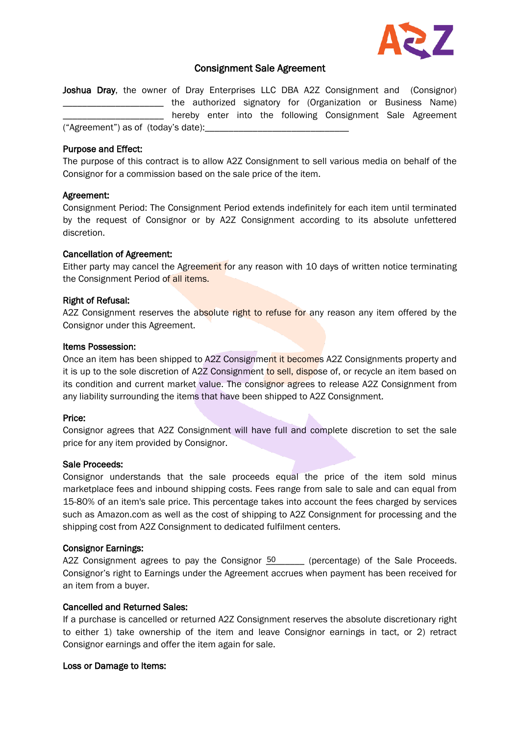

# Consignment Sale Agreement

Joshua Dray, the owner of Dray Enterprises LLC DBA A2Z Consignment and (Consignor) \_\_\_\_\_ the authorized signatory for (Organization or Business Name) \_\_\_\_\_\_\_\_\_\_\_\_\_\_\_\_\_\_\_\_\_ hereby enter into the following Consignment Sale Agreement ("Agreement") as of (today's date):\_\_\_\_\_\_\_\_\_\_\_\_\_\_\_\_\_\_\_\_\_\_\_\_\_\_\_\_\_\_

#### Purpose and Effect:

The purpose of this contract is to allow A2Z Consignment to sell various media on behalf of the Consignor for a commission based on the sale price of the item.

## Agreement:

Consignment Period: The Consignment Period extends indefinitely for each item until terminated by the request of Consignor or by A2Z Consignment according to its absolute unfettered discretion.

## Cancellation of Agreement:

Either party may cancel the Agreement for any reason with 10 days of written notice terminating the Consignment Period of all items.

## Right of Refusal:

A2Z Consignment reserves the absolute right to refuse for any reason any item offered by the Consignor under this Agreement.

## Items Possession:

Once an item has been shipped to A2Z Consignment it becomes A2Z Consignments property and it is up to the sole discretion of A2Z Consignment to sell, dispose of, or recycle an item based on its condition and current market value. The consignor agrees to release A2Z Consignment from any liability surrounding the items that have been shipped to A2Z Consignment.

## Price:

Consignor agrees that A2Z Consignment will have full and complete discretion to set the sale price for any item provided by Consignor.

#### Sale Proceeds:

Consignor understands that the sale proceeds equal the price of the item sold minus marketplace fees and inbound shipping costs. Fees range from sale to sale and can equal from 15-80% of an item's sale price. This percentage takes into account the fees charged by services such as Amazon.com as well as the cost of shipping to A2Z Consignment for processing and the shipping cost from A2Z Consignment to dedicated fulfilment centers.

#### Consignor Earnings:

A2Z Consignment agrees to pay the Consignor  $50$  \_\_\_\_\_ (percentage) of the Sale Proceeds. Consignor's right to Earnings under the Agreement accrues when payment has been received for an item from a buyer.

# Cancelled and Returned Sales:

If a purchase is cancelled or returned A2Z Consignment reserves the absolute discretionary right to either 1) take ownership of the item and leave Consignor earnings in tact, or 2) retract Consignor earnings and offer the item again for sale.

#### Loss or Damage to Items: